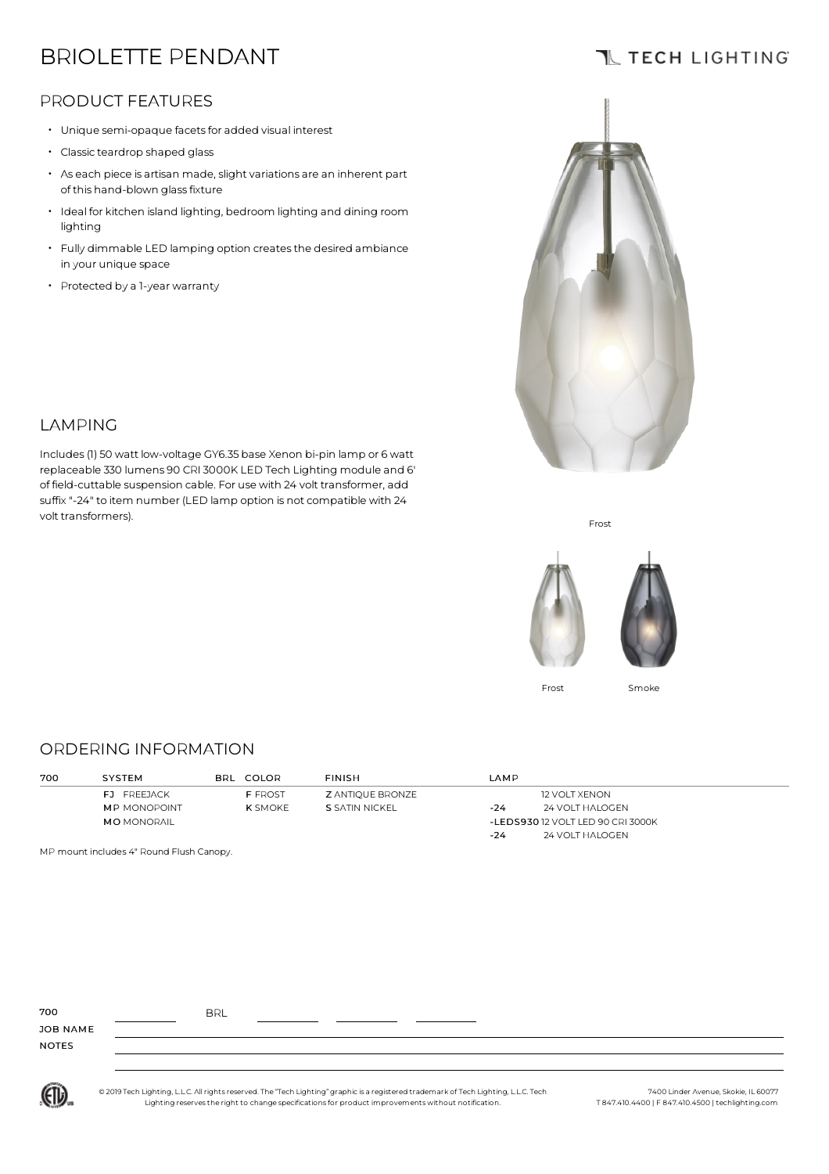# BRIOLETTE PENDANT

## **TL TECH LIGHTING**

### PRODUCT FEATURES

- Unique semi-opaque facets for added visual interest
- Classic teardrop shaped glass
- $\cdot$  As each piece is artisan made, slight variations are an inherent part of this hand-blown glassfixture
- $\cdot$  Ideal for kitchen island lighting, bedroom lighting and dining room lighting
- Fully dimmable LED lamping option createsthe desired ambiance in your unique space
- Protected by <sup>a</sup> 1-year warranty



# LAMPING

Includes(1) 50 watt low-voltage GY6.35 base Xenon bi-pin lamp or 6 watt replaceable 330 lumens 90 CRI 3000K LED Tech Lighting module and 6' of field-cuttable suspension cable. For use with 24 volt transformer, add suffix"-24" to item number (LED lamp option is not compatible with 24 volt transformers).

Frost



Frost Smoke

#### ORDERING INFORMATION

| 700 | SYSTEM              | BRL COLOR      | <b>FINISH</b>           | LAMP                              |                      |
|-----|---------------------|----------------|-------------------------|-----------------------------------|----------------------|
|     | FJ FREEJACK         | <b>F FROST</b> | <b>Z ANTIQUE BRONZE</b> |                                   | <b>12 VOLT XENON</b> |
|     | <b>MP MONOPOINT</b> | <b>K</b> SMOKE | S SATIN NICKEL          | $-24$                             | 24 VOLT HALOGEN      |
|     | <b>MO</b> MONORAIL  |                |                         | -LEDS930 12 VOLT LED 90 CRI 3000K |                      |
|     |                     |                |                         | $-24$                             | 24 VOLT HALOGEN      |

MP mount includes 4" Round Flush Canopy.

| ИE | <b>BRL</b> |  |  |
|----|------------|--|--|

JOB NAME NOTES

700



© 2019 Tech Lighting, L.L.C. All rightsreserved. The "Tech Lighting" graphic is a registered trademark of Tech Lighting, L.L.C. Tech Lighting reservesthe right to change specificationsfor product improvementswithout notification.

7400 Linder Avenue, Skokie, IL 60077 T 847.410.4400 | F 847.410.4500 | techlighting.com